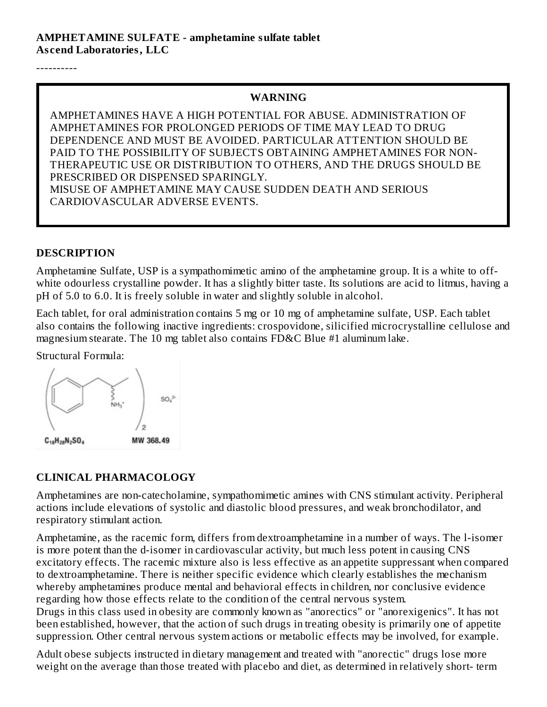----------

#### **WARNING**

AMPHETAMINES HAVE A HIGH POTENTIAL FOR ABUSE. ADMINISTRATION OF AMPHETAMINES FOR PROLONGED PERIODS OF TIME MAY LEAD TO DRUG DEPENDENCE AND MUST BE AVOIDED. PARTICULAR ATTENTION SHOULD BE PAID TO THE POSSIBILITY OF SUBJECTS OBTAINING AMPHETAMINES FOR NON-THERAPEUTIC USE OR DISTRIBUTION TO OTHERS, AND THE DRUGS SHOULD BE PRESCRIBED OR DISPENSED SPARINGLY. MISUSE OF AMPHETAMINE MAY CAUSE SUDDEN DEATH AND SERIOUS CARDIOVASCULAR ADVERSE EVENTS.

#### **DESCRIPTION**

Amphetamine Sulfate, USP is a sympathomimetic amino of the amphetamine group. It is a white to offwhite odourless crystalline powder. It has a slightly bitter taste. Its solutions are acid to litmus, having a pH of 5.0 to 6.0. It is freely soluble in water and slightly soluble in alcohol.

Each tablet, for oral administration contains 5 mg or 10 mg of amphetamine sulfate, USP. Each tablet also contains the following inactive ingredients: crospovidone, silicified microcrystalline cellulose and magnesium stearate. The 10 mg tablet also contains FD&C Blue #1 aluminum lake.

Structural Formula:



#### **CLINICAL PHARMACOLOGY**

Amphetamines are non-catecholamine, sympathomimetic amines with CNS stimulant activity. Peripheral actions include elevations of systolic and diastolic blood pressures, and weak bronchodilator, and respiratory stimulant action.

Amphetamine, as the racemic form, differs from dextroamphetamine in a number of ways. The l-isomer is more potent than the d-isomer in cardiovascular activity, but much less potent in causing CNS excitatory effects. The racemic mixture also is less effective as an appetite suppressant when compared to dextroamphetamine. There is neither specific evidence which clearly establishes the mechanism whereby amphetamines produce mental and behavioral effects in children, nor conclusive evidence regarding how those effects relate to the condition of the central nervous system.

Drugs in this class used in obesity are commonly known as "anorectics" or "anorexigenics". It has not been established, however, that the action of such drugs in treating obesity is primarily one of appetite suppression. Other central nervous system actions or metabolic effects may be involved, for example.

Adult obese subjects instructed in dietary management and treated with "anorectic" drugs lose more weight on the average than those treated with placebo and diet, as determined in relatively short- term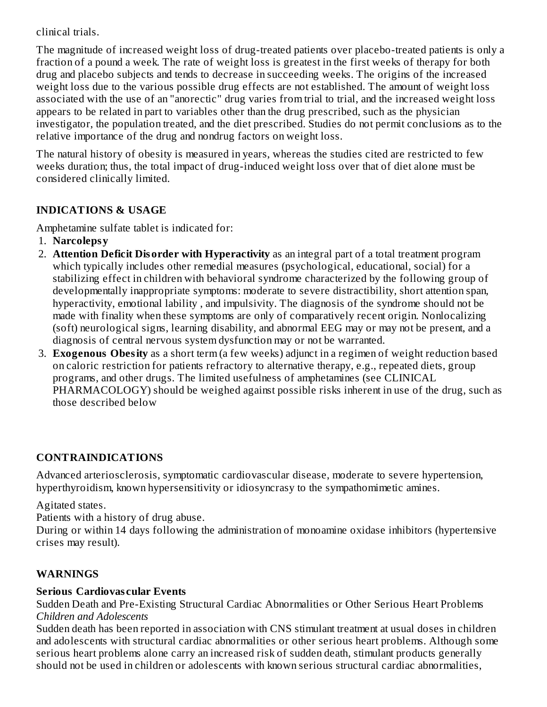clinical trials.

The magnitude of increased weight loss of drug-treated patients over placebo-treated patients is only a fraction of a pound a week. The rate of weight loss is greatest in the first weeks of therapy for both drug and placebo subjects and tends to decrease in succeeding weeks. The origins of the increased weight loss due to the various possible drug effects are not established. The amount of weight loss associated with the use of an "anorectic" drug varies from trial to trial, and the increased weight loss appears to be related in part to variables other than the drug prescribed, such as the physician investigator, the population treated, and the diet prescribed. Studies do not permit conclusions as to the relative importance of the drug and nondrug factors on weight loss.

The natural history of obesity is measured in years, whereas the studies cited are restricted to few weeks duration; thus, the total impact of drug-induced weight loss over that of diet alone must be considered clinically limited.

## **INDICATIONS & USAGE**

Amphetamine sulfate tablet is indicated for:

- 1. **Narcolepsy**
- 2. **Attention Deficit Disorder with Hyperactivity** as an integral part of a total treatment program which typically includes other remedial measures (psychological, educational, social) for a stabilizing effect in children with behavioral syndrome characterized by the following group of developmentally inappropriate symptoms: moderate to severe distractibility, short attention span, hyperactivity, emotional lability , and impulsivity. The diagnosis of the syndrome should not be made with finality when these symptoms are only of comparatively recent origin. Nonlocalizing (soft) neurological signs, learning disability, and abnormal EEG may or may not be present, and a diagnosis of central nervous system dysfunction may or not be warranted.
- 3. **Exogenous Obesity** as a short term (a few weeks) adjunct in a regimen of weight reduction based on caloric restriction for patients refractory to alternative therapy, e.g., repeated diets, group programs, and other drugs. The limited usefulness of amphetamines (see CLINICAL PHARMACOLOGY) should be weighed against possible risks inherent in use of the drug, such as those described below

# **CONTRAINDICATIONS**

Advanced arteriosclerosis, symptomatic cardiovascular disease, moderate to severe hypertension, hyperthyroidism, known hypersensitivity or idiosyncrasy to the sympathomimetic amines.

Agitated states.

Patients with a history of drug abuse.

During or within 14 days following the administration of monoamine oxidase inhibitors (hypertensive crises may result).

# **WARNINGS**

# **Serious Cardiovas cular Events**

Sudden Death and Pre-Existing Structural Cardiac Abnormalities or Other Serious Heart Problems *Children and Adolescents*

Sudden death has been reported in association with CNS stimulant treatment at usual doses in children and adolescents with structural cardiac abnormalities or other serious heart problems. Although some serious heart problems alone carry an increased risk of sudden death, stimulant products generally should not be used in children or adolescents with known serious structural cardiac abnormalities,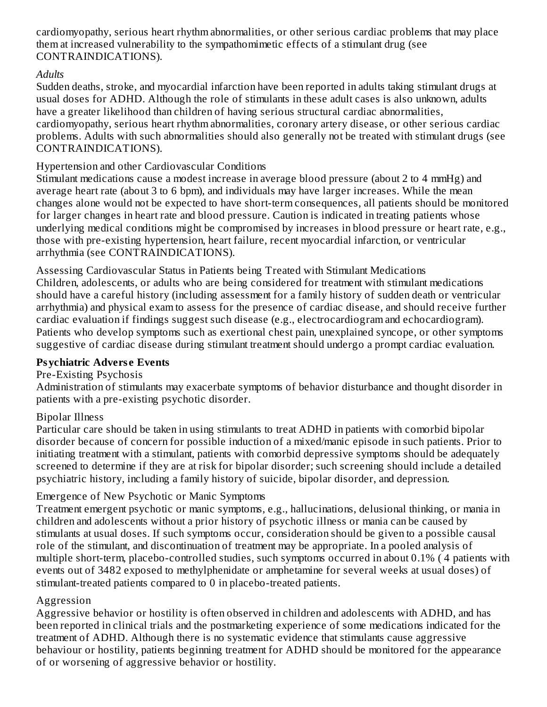cardiomyopathy, serious heart rhythm abnormalities, or other serious cardiac problems that may place them at increased vulnerability to the sympathomimetic effects of a stimulant drug (see CONTRAINDICATIONS).

## *Adults*

Sudden deaths, stroke, and myocardial infarction have been reported in adults taking stimulant drugs at usual doses for ADHD. Although the role of stimulants in these adult cases is also unknown, adults have a greater likelihood than children of having serious structural cardiac abnormalities, cardiomyopathy, serious heart rhythm abnormalities, coronary artery disease, or other serious cardiac problems. Adults with such abnormalities should also generally not be treated with stimulant drugs (see CONTRAINDICATIONS).

#### Hypertension and other Cardiovascular Conditions

Stimulant medications cause a modest increase in average blood pressure (about 2 to 4 mmHg) and average heart rate (about 3 to 6 bpm), and individuals may have larger increases. While the mean changes alone would not be expected to have short-term consequences, all patients should be monitored for larger changes in heart rate and blood pressure. Caution is indicated in treating patients whose underlying medical conditions might be compromised by increases in blood pressure or heart rate, e.g., those with pre-existing hypertension, heart failure, recent myocardial infarction, or ventricular arrhythmia (see CONTRAINDICATIONS).

Assessing Cardiovascular Status in Patients being Treated with Stimulant Medications Children, adolescents, or adults who are being considered for treatment with stimulant medications should have a careful history (including assessment for a family history of sudden death or ventricular arrhythmia) and physical exam to assess for the presence of cardiac disease, and should receive further cardiac evaluation if findings suggest such disease (e.g., electrocardiogram and echocardiogram). Patients who develop symptoms such as exertional chest pain, unexplained syncope, or other symptoms suggestive of cardiac disease during stimulant treatment should undergo a prompt cardiac evaluation.

## **Psychiatric Advers e Events**

## Pre-Existing Psychosis

Administration of stimulants may exacerbate symptoms of behavior disturbance and thought disorder in patients with a pre-existing psychotic disorder.

## Bipolar Illness

Particular care should be taken in using stimulants to treat ADHD in patients with comorbid bipolar disorder because of concern for possible induction of a mixed/manic episode in such patients. Prior to initiating treatment with a stimulant, patients with comorbid depressive symptoms should be adequately screened to determine if they are at risk for bipolar disorder; such screening should include a detailed psychiatric history, including a family history of suicide, bipolar disorder, and depression.

## Emergence of New Psychotic or Manic Symptoms

Treatment emergent psychotic or manic symptoms, e.g., hallucinations, delusional thinking, or mania in children and adolescents without a prior history of psychotic illness or mania can be caused by stimulants at usual doses. If such symptoms occur, consideration should be given to a possible causal role of the stimulant, and discontinuation of treatment may be appropriate. In a pooled analysis of multiple short-term, placebo-controlled studies, such symptoms occurred in about 0.1% ( 4 patients with events out of 3482 exposed to methylphenidate or amphetamine for several weeks at usual doses) of stimulant-treated patients compared to 0 in placebo-treated patients.

## Aggression

Aggressive behavior or hostility is often observed in children and adolescents with ADHD, and has been reported in clinical trials and the postmarketing experience of some medications indicated for the treatment of ADHD. Although there is no systematic evidence that stimulants cause aggressive behaviour or hostility, patients beginning treatment for ADHD should be monitored for the appearance of or worsening of aggressive behavior or hostility.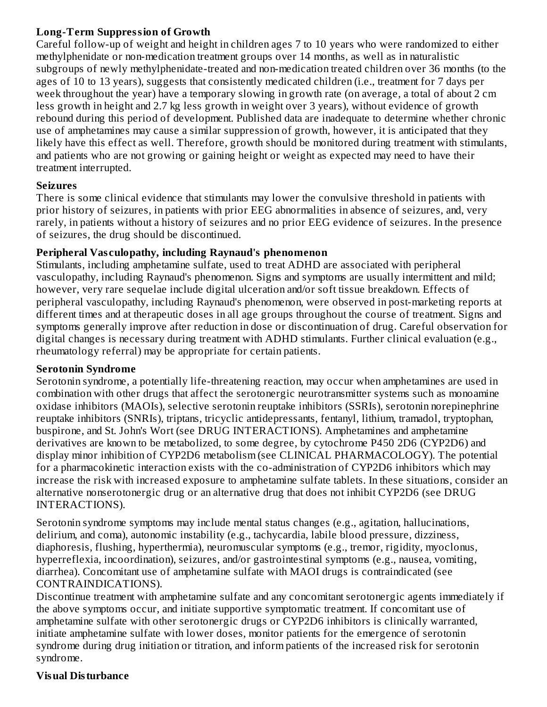# **Long-Term Suppression of Growth**

Careful follow-up of weight and height in children ages 7 to 10 years who were randomized to either methylphenidate or non-medication treatment groups over 14 months, as well as in naturalistic subgroups of newly methylphenidate-treated and non-medication treated children over 36 months (to the ages of 10 to 13 years), suggests that consistently medicated children (i.e., treatment for 7 days per week throughout the year) have a temporary slowing in growth rate (on average, a total of about 2 cm less growth in height and 2.7 kg less growth in weight over 3 years), without evidence of growth rebound during this period of development. Published data are inadequate to determine whether chronic use of amphetamines may cause a similar suppression of growth, however, it is anticipated that they likely have this effect as well. Therefore, growth should be monitored during treatment with stimulants, and patients who are not growing or gaining height or weight as expected may need to have their treatment interrupted.

## **Seizures**

There is some clinical evidence that stimulants may lower the convulsive threshold in patients with prior history of seizures, in patients with prior EEG abnormalities in absence of seizures, and, very rarely, in patients without a history of seizures and no prior EEG evidence of seizures. In the presence of seizures, the drug should be discontinued.

## **Peripheral Vas culopathy, including Raynaud's phenomenon**

Stimulants, including amphetamine sulfate, used to treat ADHD are associated with peripheral vasculopathy, including Raynaud's phenomenon. Signs and symptoms are usually intermittent and mild; however, very rare sequelae include digital ulceration and/or soft tissue breakdown. Effects of peripheral vasculopathy, including Raynaud's phenomenon, were observed in post-marketing reports at different times and at therapeutic doses in all age groups throughout the course of treatment. Signs and symptoms generally improve after reduction in dose or discontinuation of drug. Careful observation for digital changes is necessary during treatment with ADHD stimulants. Further clinical evaluation (e.g., rheumatology referral) may be appropriate for certain patients.

## **Serotonin Syndrome**

Serotonin syndrome, a potentially life-threatening reaction, may occur when amphetamines are used in combination with other drugs that affect the serotonergic neurotransmitter systems such as monoamine oxidase inhibitors (MAOIs), selective serotonin reuptake inhibitors (SSRIs), serotonin norepinephrine reuptake inhibitors (SNRIs), triptans, tricyclic antidepressants, fentanyl, lithium, tramadol, tryptophan, buspirone, and St. John's Wort (see DRUG INTERACTIONS). Amphetamines and amphetamine derivatives are known to be metabolized, to some degree, by cytochrome P450 2D6 (CYP2D6) and display minor inhibition of CYP2D6 metabolism (see CLINICAL PHARMACOLOGY). The potential for a pharmacokinetic interaction exists with the co-administration of CYP2D6 inhibitors which may increase the risk with increased exposure to amphetamine sulfate tablets. In these situations, consider an alternative nonserotonergic drug or an alternative drug that does not inhibit CYP2D6 (see DRUG INTERACTIONS).

Serotonin syndrome symptoms may include mental status changes (e.g., agitation, hallucinations, delirium, and coma), autonomic instability (e.g., tachycardia, labile blood pressure, dizziness, diaphoresis, flushing, hyperthermia), neuromuscular symptoms (e.g., tremor, rigidity, myoclonus, hyperreflexia, incoordination), seizures, and/or gastrointestinal symptoms (e.g., nausea, vomiting, diarrhea). Concomitant use of amphetamine sulfate with MAOI drugs is contraindicated (see CONTRAINDICATIONS).

Discontinue treatment with amphetamine sulfate and any concomitant serotonergic agents immediately if the above symptoms occur, and initiate supportive symptomatic treatment. If concomitant use of amphetamine sulfate with other serotonergic drugs or CYP2D6 inhibitors is clinically warranted, initiate amphetamine sulfate with lower doses, monitor patients for the emergence of serotonin syndrome during drug initiation or titration, and inform patients of the increased risk for serotonin syndrome.

# **Visual Disturbance**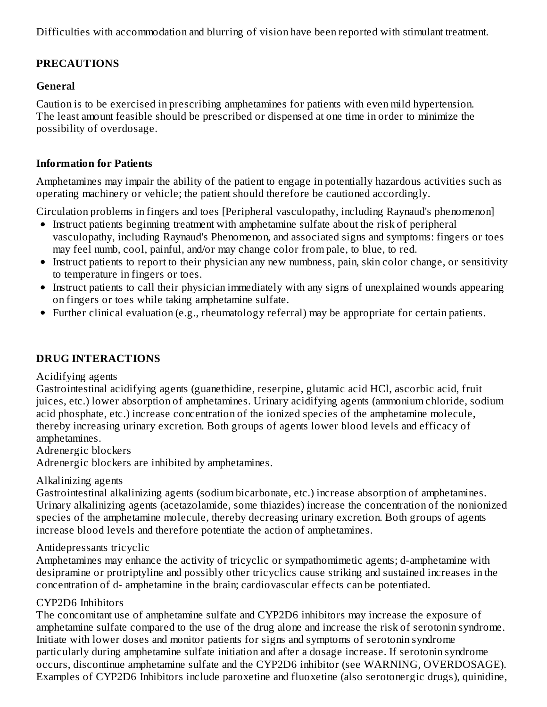Difficulties with accommodation and blurring of vision have been reported with stimulant treatment.

# **PRECAUTIONS**

## **General**

Caution is to be exercised in prescribing amphetamines for patients with even mild hypertension. The least amount feasible should be prescribed or dispensed at one time in order to minimize the possibility of overdosage.

## **Information for Patients**

Amphetamines may impair the ability of the patient to engage in potentially hazardous activities such as operating machinery or vehicle; the patient should therefore be cautioned accordingly.

Circulation problems in fingers and toes [Peripheral vasculopathy, including Raynaud's phenomenon]

- Instruct patients beginning treatment with amphetamine sulfate about the risk of peripheral vasculopathy, including Raynaud's Phenomenon, and associated signs and symptoms: fingers or toes may feel numb, cool, painful, and/or may change color from pale, to blue, to red.
- Instruct patients to report to their physician any new numbness, pain, skin color change, or sensitivity to temperature in fingers or toes.
- Instruct patients to call their physician immediately with any signs of unexplained wounds appearing on fingers or toes while taking amphetamine sulfate.
- Further clinical evaluation (e.g., rheumatology referral) may be appropriate for certain patients.

# **DRUG INTERACTIONS**

## Acidifying agents

Gastrointestinal acidifying agents (guanethidine, reserpine, glutamic acid HCl, ascorbic acid, fruit juices, etc.) lower absorption of amphetamines. Urinary acidifying agents (ammonium chloride, sodium acid phosphate, etc.) increase concentration of the ionized species of the amphetamine molecule, thereby increasing urinary excretion. Both groups of agents lower blood levels and efficacy of amphetamines.

## Adrenergic blockers

Adrenergic blockers are inhibited by amphetamines.

## Alkalinizing agents

Gastrointestinal alkalinizing agents (sodium bicarbonate, etc.) increase absorption of amphetamines. Urinary alkalinizing agents (acetazolamide, some thiazides) increase the concentration of the nonionized species of the amphetamine molecule, thereby decreasing urinary excretion. Both groups of agents increase blood levels and therefore potentiate the action of amphetamines.

## Antidepressants tricyclic

Amphetamines may enhance the activity of tricyclic or sympathomimetic agents; d-amphetamine with desipramine or protriptyline and possibly other tricyclics cause striking and sustained increases in the concentration of d- amphetamine in the brain; cardiovascular effects can be potentiated.

## CYP2D6 Inhibitors

The concomitant use of amphetamine sulfate and CYP2D6 inhibitors may increase the exposure of amphetamine sulfate compared to the use of the drug alone and increase the risk of serotonin syndrome. Initiate with lower doses and monitor patients for signs and symptoms of serotonin syndrome particularly during amphetamine sulfate initiation and after a dosage increase. If serotonin syndrome occurs, discontinue amphetamine sulfate and the CYP2D6 inhibitor (see WARNING, OVERDOSAGE). Examples of CYP2D6 Inhibitors include paroxetine and fluoxetine (also serotonergic drugs), quinidine,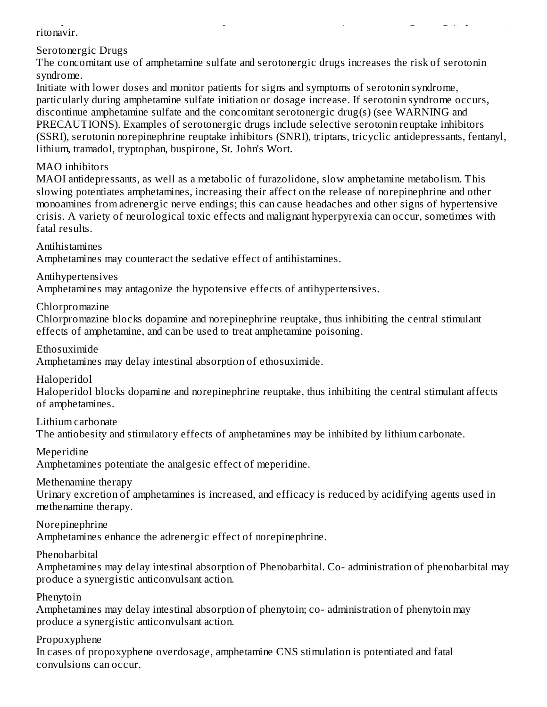Examples of CYP2D6 Inhibitors include paroxetine and fluoxetine (also serotonergic drugs), quinidine, ritonavir.

Serotonergic Drugs

The concomitant use of amphetamine sulfate and serotonergic drugs increases the risk of serotonin syndrome.

Initiate with lower doses and monitor patients for signs and symptoms of serotonin syndrome, particularly during amphetamine sulfate initiation or dosage increase. If serotonin syndrome occurs, discontinue amphetamine sulfate and the concomitant serotonergic drug(s) (see WARNING and PRECAUTIONS). Examples of serotonergic drugs include selective serotonin reuptake inhibitors (SSRI), serotonin norepinephrine reuptake inhibitors (SNRI), triptans, tricyclic antidepressants, fentanyl, lithium, tramadol, tryptophan, buspirone, St. John's Wort.

MAO inhibitors

MAOI antidepressants, as well as a metabolic of furazolidone, slow amphetamine metabolism. This slowing potentiates amphetamines, increasing their affect on the release of norepinephrine and other monoamines from adrenergic nerve endings; this can cause headaches and other signs of hypertensive crisis. A variety of neurological toxic effects and malignant hyperpyrexia can occur, sometimes with fatal results.

Antihistamines

Amphetamines may counteract the sedative effect of antihistamines.

Antihypertensives

Amphetamines may antagonize the hypotensive effects of antihypertensives.

Chlorpromazine

Chlorpromazine blocks dopamine and norepinephrine reuptake, thus inhibiting the central stimulant effects of amphetamine, and can be used to treat amphetamine poisoning.

Ethosuximide

Amphetamines may delay intestinal absorption of ethosuximide.

Haloperidol

Haloperidol blocks dopamine and norepinephrine reuptake, thus inhibiting the central stimulant affects of amphetamines.

Lithium carbonate

The antiobesity and stimulatory effects of amphetamines may be inhibited by lithium carbonate.

Meperidine

Amphetamines potentiate the analgesic effect of meperidine.

Methenamine therapy

Urinary excretion of amphetamines is increased, and efficacy is reduced by acidifying agents used in methenamine therapy.

Norepinephrine

Amphetamines enhance the adrenergic effect of norepinephrine.

Phenobarbital

Amphetamines may delay intestinal absorption of Phenobarbital. Co- administration of phenobarbital may produce a synergistic anticonvulsant action.

Phenytoin

Amphetamines may delay intestinal absorption of phenytoin; co- administration of phenytoin may produce a synergistic anticonvulsant action.

Propoxyphene

In cases of propoxyphene overdosage, amphetamine CNS stimulation is potentiated and fatal convulsions can occur.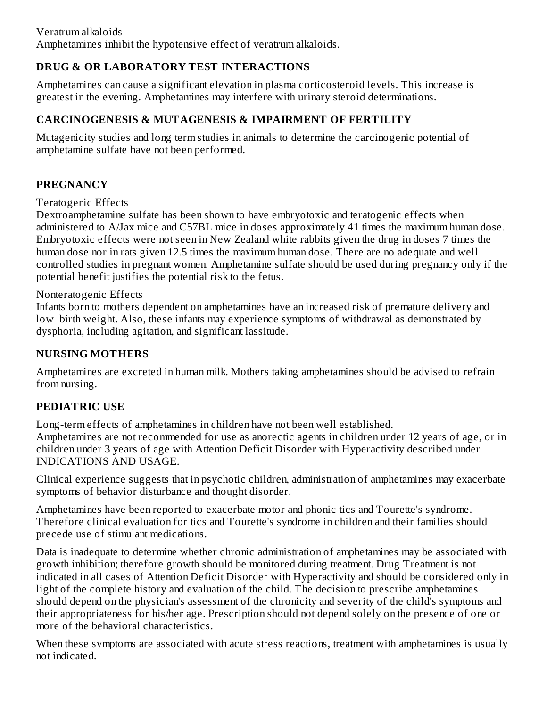Veratrum alkaloids Amphetamines inhibit the hypotensive effect of veratrum alkaloids.

# **DRUG & OR LABORATORY TEST INTERACTIONS**

Amphetamines can cause a significant elevation in plasma corticosteroid levels. This increase is greatest in the evening. Amphetamines may interfere with urinary steroid determinations.

## **CARCINOGENESIS & MUTAGENESIS & IMPAIRMENT OF FERTILITY**

Mutagenicity studies and long term studies in animals to determine the carcinogenic potential of amphetamine sulfate have not been performed.

## **PREGNANCY**

Teratogenic Effects

Dextroamphetamine sulfate has been shown to have embryotoxic and teratogenic effects when administered to A/Jax mice and C57BL mice in doses approximately 41 times the maximum human dose. Embryotoxic effects were not seen in New Zealand white rabbits given the drug in doses 7 times the human dose nor in rats given 12.5 times the maximum human dose. There are no adequate and well controlled studies in pregnant women. Amphetamine sulfate should be used during pregnancy only if the potential benefit justifies the potential risk to the fetus.

Nonteratogenic Effects

Infants born to mothers dependent on amphetamines have an increased risk of premature delivery and low birth weight. Also, these infants may experience symptoms of withdrawal as demonstrated by dysphoria, including agitation, and significant lassitude.

## **NURSING MOTHERS**

Amphetamines are excreted in human milk. Mothers taking amphetamines should be advised to refrain from nursing.

## **PEDIATRIC USE**

Long-term effects of amphetamines in children have not been well established. Amphetamines are not recommended for use as anorectic agents in children under 12 years of age, or in children under 3 years of age with Attention Deficit Disorder with Hyperactivity described under INDICATIONS AND USAGE.

Clinical experience suggests that in psychotic children, administration of amphetamines may exacerbate symptoms of behavior disturbance and thought disorder.

Amphetamines have been reported to exacerbate motor and phonic tics and Tourette's syndrome. Therefore clinical evaluation for tics and Tourette's syndrome in children and their families should precede use of stimulant medications.

Data is inadequate to determine whether chronic administration of amphetamines may be associated with growth inhibition; therefore growth should be monitored during treatment. Drug Treatment is not indicated in all cases of Attention Deficit Disorder with Hyperactivity and should be considered only in light of the complete history and evaluation of the child. The decision to prescribe amphetamines should depend on the physician's assessment of the chronicity and severity of the child's symptoms and their appropriateness for his/her age. Prescription should not depend solely on the presence of one or more of the behavioral characteristics.

When these symptoms are associated with acute stress reactions, treatment with amphetamines is usually not indicated.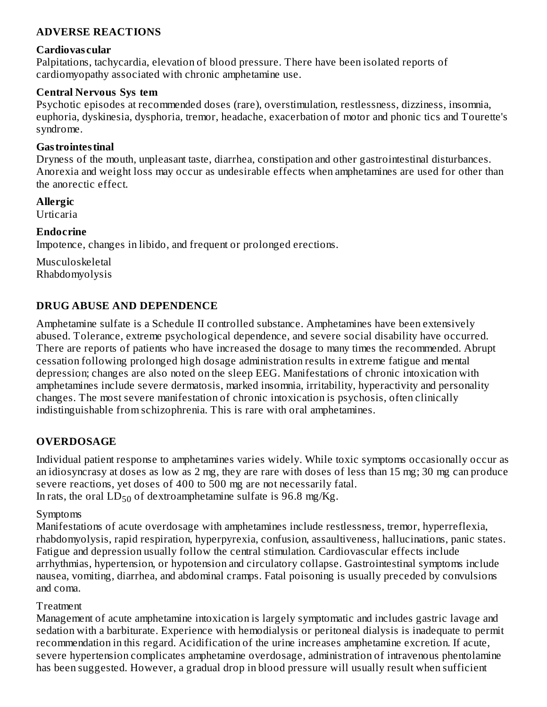## **ADVERSE REACTIONS**

#### **Cardiovas cular**

Palpitations, tachycardia, elevation of blood pressure. There have been isolated reports of cardiomyopathy associated with chronic amphetamine use.

#### **Central Nervous Sys tem**

Psychotic episodes at recommended doses (rare), overstimulation, restlessness, dizziness, insomnia, euphoria, dyskinesia, dysphoria, tremor, headache, exacerbation of motor and phonic tics and Tourette's syndrome.

#### **Gastrointestinal**

Dryness of the mouth, unpleasant taste, diarrhea, constipation and other gastrointestinal disturbances. Anorexia and weight loss may occur as undesirable effects when amphetamines are used for other than the anorectic effect.

**Allergic** Urticaria

## **Endocrine**

Impotence, changes in libido, and frequent or prolonged erections.

Musculoskeletal Rhabdomyolysis

## **DRUG ABUSE AND DEPENDENCE**

Amphetamine sulfate is a Schedule II controlled substance. Amphetamines have been extensively abused. Tolerance, extreme psychological dependence, and severe social disability have occurred. There are reports of patients who have increased the dosage to many times the recommended. Abrupt cessation following prolonged high dosage administration results in extreme fatigue and mental depression; changes are also noted on the sleep EEG. Manifestations of chronic intoxication with amphetamines include severe dermatosis, marked insomnia, irritability, hyperactivity and personality changes. The most severe manifestation of chronic intoxication is psychosis, often clinically indistinguishable from schizophrenia. This is rare with oral amphetamines.

# **OVERDOSAGE**

Individual patient response to amphetamines varies widely. While toxic symptoms occasionally occur as an idiosyncrasy at doses as low as 2 mg, they are rare with doses of less than 15 mg; 30 mg can produce severe reactions, yet doses of 400 to 500 mg are not necessarily fatal. In rats, the oral  $LD_{50}$  of dextroamphetamine sulfate is 96.8 mg/Kg.

#### Symptoms

Manifestations of acute overdosage with amphetamines include restlessness, tremor, hyperreflexia, rhabdomyolysis, rapid respiration, hyperpyrexia, confusion, assaultiveness, hallucinations, panic states. Fatigue and depression usually follow the central stimulation. Cardiovascular effects include arrhythmias, hypertension, or hypotension and circulatory collapse. Gastrointestinal symptoms include nausea, vomiting, diarrhea, and abdominal cramps. Fatal poisoning is usually preceded by convulsions and coma.

## Treatment

Management of acute amphetamine intoxication is largely symptomatic and includes gastric lavage and sedation with a barbiturate. Experience with hemodialysis or peritoneal dialysis is inadequate to permit recommendation in this regard. Acidification of the urine increases amphetamine excretion. If acute, severe hypertension complicates amphetamine overdosage, administration of intravenous phentolamine has been suggested. However, a gradual drop in blood pressure will usually result when sufficient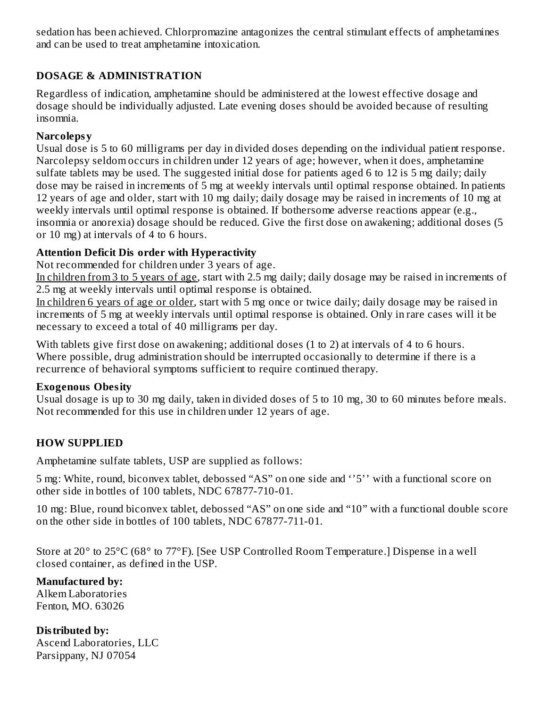sedation has been achieved. Chlorpromazine antagonizes the central stimulant effects of amphetamines and can be used to treat amphetamine intoxication.

# **DOSAGE & ADMINISTRATION**

Regardless of indication, amphetamine should be administered at the lowest effective dosage and dosage should be individually adjusted. Late evening doses should be avoided because of resulting insomnia.

#### **Narcolepsy**

Usual dose is 5 to 60 milligrams per day in divided doses depending on the individual patient response. Narcolepsy seldom occurs in children under 12 years of age; however, when it does, amphetamine sulfate tablets may be used. The suggested initial dose for patients aged 6 to 12 is 5 mg daily; daily dose may be raised in increments of 5 mg at weekly intervals until optimal response obtained. In patients 12 years of age and older, start with 10 mg daily; daily dosage may be raised in increments of 10 mg at weekly intervals until optimal response is obtained. If bothersome adverse reactions appear (e.g., insomnia or anorexia) dosage should be reduced. Give the first dose on awakening; additional doses (5 or 10 mg) at intervals of 4 to 6 hours.

## **Attention Deficit Dis order with Hyperactivity**

Not recommended for children under 3 years of age.

In children from 3 to 5 years of age, start with 2.5 mg daily; daily dosage may be raised in increments of 2.5 mg at weekly intervals until optimal response is obtained.

In children 6 years of age or older, start with 5 mg once or twice daily; daily dosage may be raised in increments of 5 mg at weekly intervals until optimal response is obtained. Only in rare cases will it be necessary to exceed a total of 40 milligrams per day.

With tablets give first dose on awakening; additional doses (1 to 2) at intervals of 4 to 6 hours. Where possible, drug administration should be interrupted occasionally to determine if there is a recurrence of behavioral symptoms sufficient to require continued therapy.

#### **Exogenous Obesity**

Usual dosage is up to 30 mg daily, taken in divided doses of 5 to 10 mg, 30 to 60 minutes before meals. Not recommended for this use in children under 12 years of age.

## **HOW SUPPLIED**

Amphetamine sulfate tablets, USP are supplied as follows:

5 mg: White, round, biconvex tablet, debossed "AS" on one side and ''5'' with a functional score on other side in bottles of 100 tablets, NDC 67877-710-01.

10 mg: Blue, round biconvex tablet, debossed "AS" on one side and "10" with a functional double score on the other side in bottles of 100 tablets, NDC 67877-711-01.

Store at 20° to 25°C (68° to 77°F). [See USP Controlled Room Temperature.] Dispense in a well closed container, as defined in the USP.

**Manufactured by:** Alkem Laboratories Fenton, MO. 63026

**Distributed by:** Ascend Laboratories, LLC Parsippany, NJ 07054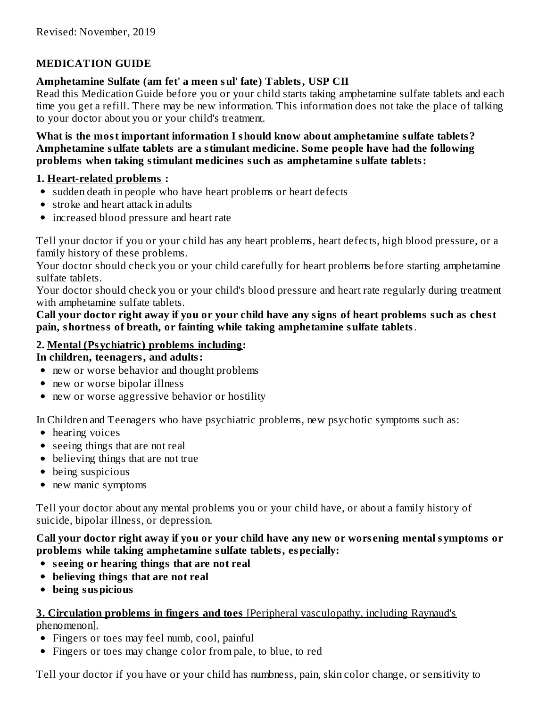## **MEDICATION GUIDE**

#### **Amphetamine Sulfate (am fet' a meen sul' fate) Tablets, USP CII**

Read this Medication Guide before you or your child starts taking amphetamine sulfate tablets and each time you get a refill. There may be new information. This information does not take the place of talking to your doctor about you or your child's treatment.

**What is the most important information I should know about amphetamine sulfate tablets? Amphetamine sulfate tablets are a stimulant medicine. Some people have had the following problems when taking stimulant medicines such as amphetamine sulfate tablets:**

#### **1. Heart-related problems :**

- sudden death in people who have heart problems or heart defects
- stroke and heart attack in adults
- increased blood pressure and heart rate

Tell your doctor if you or your child has any heart problems, heart defects, high blood pressure, or a family history of these problems.

Your doctor should check you or your child carefully for heart problems before starting amphetamine sulfate tablets.

Your doctor should check you or your child's blood pressure and heart rate regularly during treatment with amphetamine sulfate tablets.

Call your doctor right away if you or your child have any signs of heart problems such as chest **pain, shortness of breath, or fainting while taking amphetamine sulfate tablets**.

## **2. Mental (Psychiatric) problems including:**

**In children, teenagers, and adults:**

- new or worse behavior and thought problems
- new or worse bipolar illness
- new or worse aggressive behavior or hostility

In Children and Teenagers who have psychiatric problems, new psychotic symptoms such as:

- hearing voices
- seeing things that are not real
- believing things that are not true
- being suspicious
- new manic symptoms

Tell your doctor about any mental problems you or your child have, or about a family history of suicide, bipolar illness, or depression.

Call your doctor right away if you or your child have any new or worsening mental symptoms or **problems while taking amphetamine sulfate tablets, especially:**

- **s eeing or hearing things that are not real**
- **believing things that are not real**
- **being suspicious**

**3. Circulation problems in fingers and toes** [Peripheral vasculopathy, including Raynaud's phenomenon].

- Fingers or toes may feel numb, cool, painful
- Fingers or toes may change color from pale, to blue, to red

Tell your doctor if you have or your child has numbness, pain, skin color change, or sensitivity to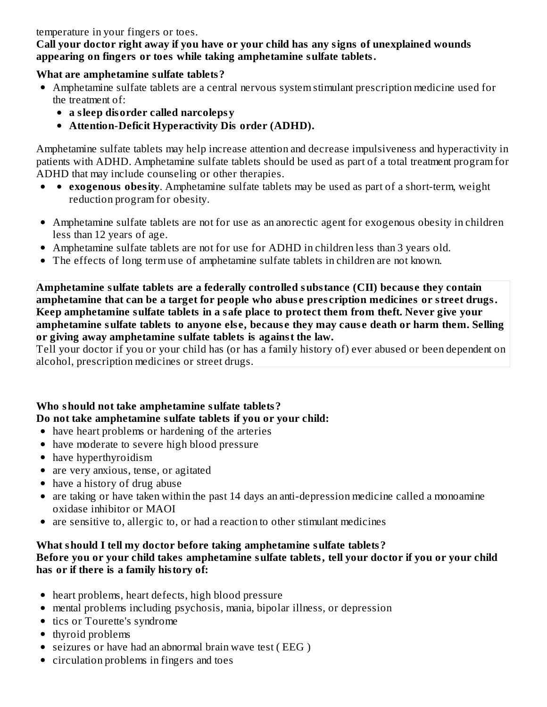temperature in your fingers or toes.

#### **Call your doctor right away if you have or your child has any signs of unexplained wounds appearing on fingers or toes while taking amphetamine sulfate tablets.**

## **What are amphetamine sulfate tablets?**

- Amphetamine sulfate tablets are a central nervous system stimulant prescription medicine used for the treatment of:
	- **a sleep disorder called narcolepsy**
	- **Attention-Deficit Hyperactivity Dis order (ADHD).**

Amphetamine sulfate tablets may help increase attention and decrease impulsiveness and hyperactivity in patients with ADHD. Amphetamine sulfate tablets should be used as part of a total treatment program for ADHD that may include counseling or other therapies.

- **exogenous obesity**. Amphetamine sulfate tablets may be used as part of a short-term, weight reduction program for obesity.
- Amphetamine sulfate tablets are not for use as an anorectic agent for exogenous obesity in children less than 12 years of age.
- Amphetamine sulfate tablets are not for use for ADHD in children less than 3 years old.
- The effects of long term use of amphetamine sulfate tablets in children are not known.

**Amphetamine sulfate tablets are a federally controlled substance (CII) becaus e they contain amphetamine that can be a target for people who abus e pres cription medicines or street drugs. Keep amphetamine sulfate tablets in a safe place to protect them from theft. Never give your amphetamine sulfate tablets to anyone els e, becaus e they may caus e death or harm them. Selling or giving away amphetamine sulfate tablets is against the law.**

Tell your doctor if you or your child has (or has a family history of) ever abused or been dependent on alcohol, prescription medicines or street drugs.

## **Who should not take amphetamine sulfate tablets? Do not take amphetamine sulfate tablets if you or your child:**

- have heart problems or hardening of the arteries
- have moderate to severe high blood pressure
- have hyperthyroidism
- are very anxious, tense, or agitated
- have a history of drug abuse
- are taking or have taken within the past 14 days an anti-depression medicine called a monoamine oxidase inhibitor or MAOI
- are sensitive to, allergic to, or had a reaction to other stimulant medicines

#### **What should I tell my doctor before taking amphetamine sulfate tablets? Before you or your child takes amphetamine sulfate tablets, tell your doctor if you or your child has or if there is a family history of:**

- heart problems, heart defects, high blood pressure
- mental problems including psychosis, mania, bipolar illness, or depression
- tics or Tourette's syndrome
- thyroid problems
- seizures or have had an abnormal brain wave test (EEG)
- circulation problems in fingers and toes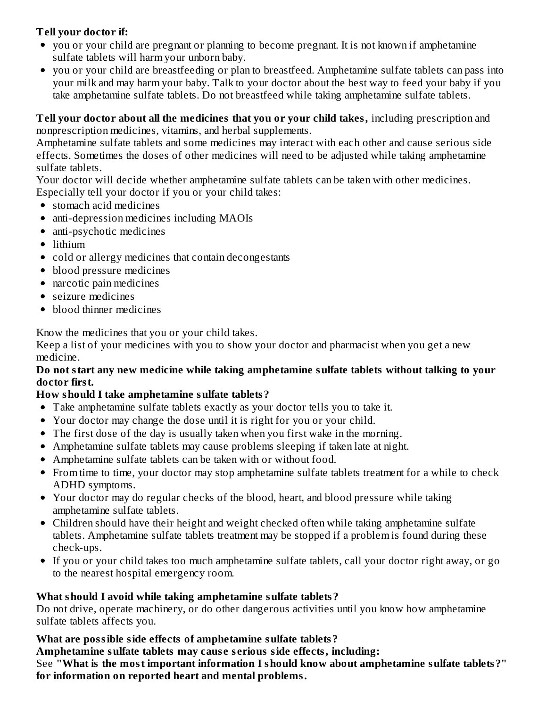# **Tell your doctor if:**

- you or your child are pregnant or planning to become pregnant. It is not known if amphetamine sulfate tablets will harm your unborn baby.
- you or your child are breastfeeding or plan to breastfeed. Amphetamine sulfate tablets can pass into your milk and may harm your baby. Talk to your doctor about the best way to feed your baby if you take amphetamine sulfate tablets. Do not breastfeed while taking amphetamine sulfate tablets.

#### **Tell your doctor about all the medicines that you or your child takes,** including prescription and nonprescription medicines, vitamins, and herbal supplements.

Amphetamine sulfate tablets and some medicines may interact with each other and cause serious side effects. Sometimes the doses of other medicines will need to be adjusted while taking amphetamine sulfate tablets.

Your doctor will decide whether amphetamine sulfate tablets can be taken with other medicines. Especially tell your doctor if you or your child takes:

- stomach acid medicines
- anti-depression medicines including MAOIs
- anti-psychotic medicines
- lithium
- cold or allergy medicines that contain decongestants
- blood pressure medicines
- narcotic pain medicines
- seizure medicines
- blood thinner medicines

Know the medicines that you or your child takes.

Keep a list of your medicines with you to show your doctor and pharmacist when you get a new medicine.

## **Do not start any new medicine while taking amphetamine sulfate tablets without talking to your doctor first.**

# **How should I take amphetamine sulfate tablets?**

- Take amphetamine sulfate tablets exactly as your doctor tells you to take it.
- Your doctor may change the dose until it is right for you or your child.
- The first dose of the day is usually taken when you first wake in the morning.
- Amphetamine sulfate tablets may cause problems sleeping if taken late at night.
- Amphetamine sulfate tablets can be taken with or without food.
- From time to time, your doctor may stop amphetamine sulfate tablets treatment for a while to check ADHD symptoms.
- Your doctor may do regular checks of the blood, heart, and blood pressure while taking amphetamine sulfate tablets.
- Children should have their height and weight checked often while taking amphetamine sulfate tablets. Amphetamine sulfate tablets treatment may be stopped if a problem is found during these check-ups.
- If you or your child takes too much amphetamine sulfate tablets, call your doctor right away, or go to the nearest hospital emergency room.

# **What should I avoid while taking amphetamine sulfate tablets?**

Do not drive, operate machinery, or do other dangerous activities until you know how amphetamine sulfate tablets affects you.

# **What are possible side effects of amphetamine sulfate tablets?**

**Amphetamine sulfate tablets may caus e s erious side effects, including:**

See **"What is the most important information I should know about amphetamine sulfate tablets?" for information on reported heart and mental problems.**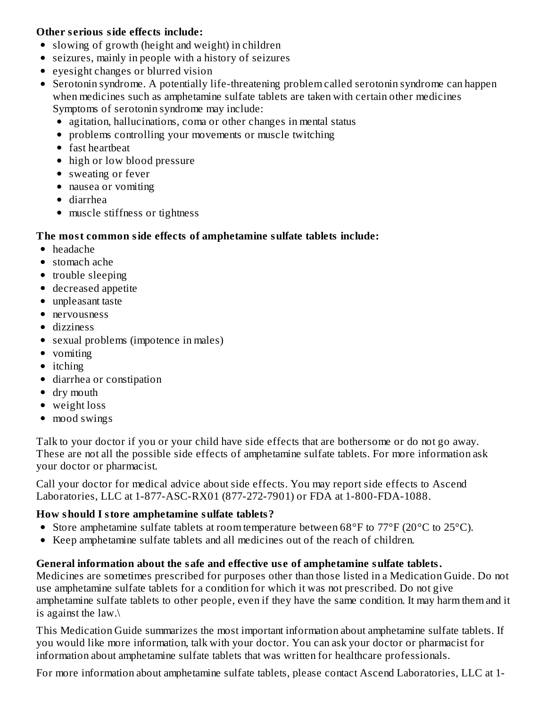## **Other s erious side effects include:**

- slowing of growth (height and weight) in children
- seizures, mainly in people with a history of seizures
- eyesight changes or blurred vision
- Serotonin syndrome. A potentially life-threatening problem called serotonin syndrome can happen when medicines such as amphetamine sulfate tablets are taken with certain other medicines Symptoms of serotonin syndrome may include:
	- agitation, hallucinations, coma or other changes in mental status
	- problems controlling your movements or muscle twitching
	- fast heartbeat
	- high or low blood pressure
	- sweating or fever
	- nausea or vomiting
	- diarrhea
	- muscle stiffness or tightness

# **The most common side effects of amphetamine sulfate tablets include:**

- headache
- stomach ache
- trouble sleeping
- decreased appetite
- unpleasant taste
- nervousness
- dizziness
- sexual problems (impotence in males)
- vomiting
- itching
- diarrhea or constipation
- dry mouth
- weight loss
- mood swings

Talk to your doctor if you or your child have side effects that are bothersome or do not go away. These are not all the possible side effects of amphetamine sulfate tablets. For more information ask your doctor or pharmacist.

Call your doctor for medical advice about side effects. You may report side effects to Ascend Laboratories, LLC at 1-877-ASC-RX01 (877-272-7901) or FDA at 1-800-FDA-1088.

# **How should I store amphetamine sulfate tablets?**

- Store amphetamine sulfate tablets at room temperature between 68°F to 77°F (20°C to 25°C).
- Keep amphetamine sulfate tablets and all medicines out of the reach of children.

# **General information about the safe and effective us e of amphetamine sulfate tablets.**

Medicines are sometimes prescribed for purposes other than those listed in a Medication Guide. Do not use amphetamine sulfate tablets for a condition for which it was not prescribed. Do not give amphetamine sulfate tablets to other people, even if they have the same condition. It may harm them and it is against the law.\

This Medication Guide summarizes the most important information about amphetamine sulfate tablets. If you would like more information, talk with your doctor. You can ask your doctor or pharmacist for information about amphetamine sulfate tablets that was written for healthcare professionals.

For more information about amphetamine sulfate tablets, please contact Ascend Laboratories, LLC at 1-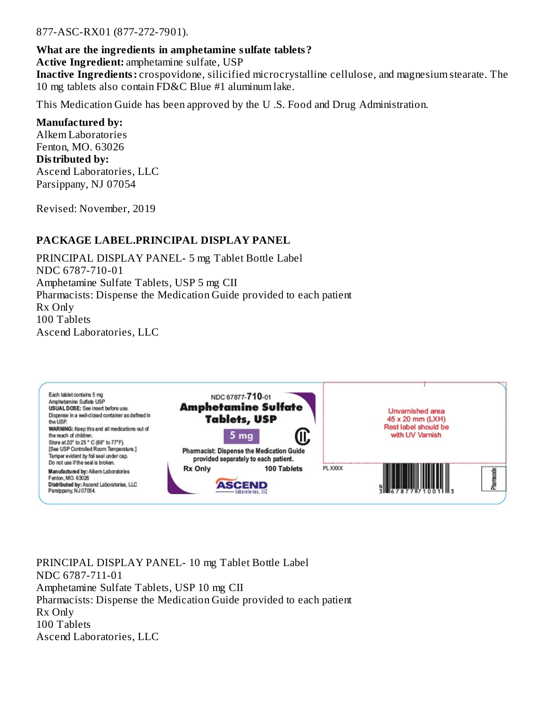#### 877-ASC-RX01 (877-272-7901).

## **What are the ingredients in amphetamine sulfate tablets?**

**Active Ingredient:** amphetamine sulfate, USP

**Inactive Ingredients:** crospovidone, silicified microcrystalline cellulose, and magnesium stearate. The 10 mg tablets also contain FD&C Blue #1 aluminum lake.

This Medication Guide has been approved by the U .S. Food and Drug Administration.

#### **Manufactured by:**

Alkem Laboratories Fenton, MO. 63026 **Distributed by:** Ascend Laboratories, LLC Parsippany, NJ 07054

Revised: November, 2019

#### **PACKAGE LABEL.PRINCIPAL DISPLAY PANEL**

PRINCIPAL DISPLAY PANEL- 5 mg Tablet Bottle Label NDC 6787-710-01 Amphetamine Sulfate Tablets, USP 5 mg CII Pharmacists: Dispense the Medication Guide provided to each patient Rx Only 100 Tablets Ascend Laboratories, LLC



PRINCIPAL DISPLAY PANEL- 10 mg Tablet Bottle Label NDC 6787-711-01 Amphetamine Sulfate Tablets, USP 10 mg CII Pharmacists: Dispense the Medication Guide provided to each patient Rx Only 100 Tablets Ascend Laboratories, LLC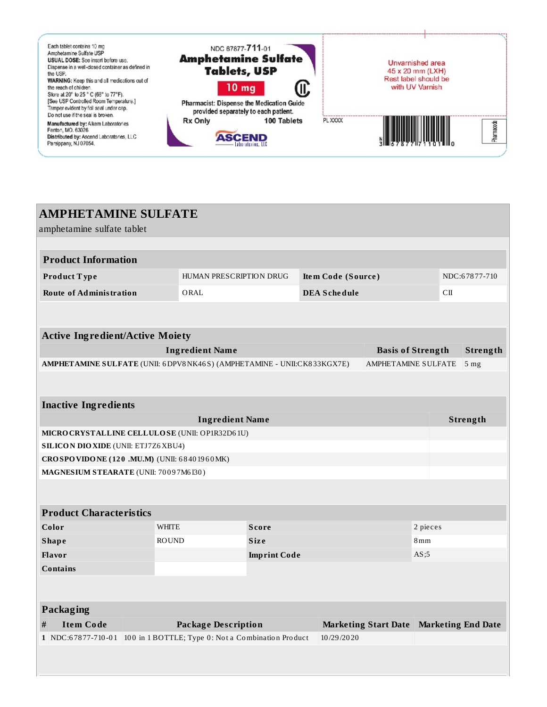

| <b>AMPHETAMINE SULFATE</b><br>amphetamine sulfate tablet                                             |                                                    |                                                      |            |                                         |                 |                 |  |
|------------------------------------------------------------------------------------------------------|----------------------------------------------------|------------------------------------------------------|------------|-----------------------------------------|-----------------|-----------------|--|
|                                                                                                      |                                                    |                                                      |            |                                         |                 |                 |  |
| <b>Product Information</b>                                                                           |                                                    |                                                      |            |                                         |                 |                 |  |
| Product Type                                                                                         |                                                    | HUMAN PRESCRIPTION DRUG<br><b>Item Code (Source)</b> |            |                                         | NDC:67877-710   |                 |  |
| <b>Route of Administration</b>                                                                       | ORAL                                               |                                                      |            | <b>DEA Schedule</b>                     |                 | C <sub>II</sub> |  |
|                                                                                                      |                                                    |                                                      |            |                                         |                 |                 |  |
|                                                                                                      |                                                    |                                                      |            |                                         |                 |                 |  |
| <b>Active Ingredient/Active Moiety</b>                                                               |                                                    |                                                      |            |                                         |                 |                 |  |
|                                                                                                      | <b>Ingredient Name</b><br><b>Basis of Strength</b> |                                                      |            |                                         |                 | Strength        |  |
| AMPHETAMINE SULFATE (UNII: 6DPV8NK46S) (AMPHETAMINE - UNII:CK833KGX7E)<br><b>AMPHETAMINE SULFATE</b> |                                                    |                                                      |            |                                         | 5 <sub>mg</sub> |                 |  |
|                                                                                                      |                                                    |                                                      |            |                                         |                 |                 |  |
| <b>Inactive Ingredients</b>                                                                          |                                                    |                                                      |            |                                         |                 |                 |  |
| <b>Ingredient Name</b>                                                                               |                                                    |                                                      |            |                                         |                 | Strength        |  |
| MICRO CRYSTALLINE CELLULO SE (UNII: OP1R32D61U)                                                      |                                                    |                                                      |            |                                         |                 |                 |  |
| <b>SILICON DIO XIDE (UNII: ETJ7Z6 XBU4)</b>                                                          |                                                    |                                                      |            |                                         |                 |                 |  |
| CROSPOVIDONE (120 .MU.M) (UNII: 68401960MK)                                                          |                                                    |                                                      |            |                                         |                 |                 |  |
| MAGNESIUM STEARATE (UNII: 70097M6130)                                                                |                                                    |                                                      |            |                                         |                 |                 |  |
|                                                                                                      |                                                    |                                                      |            |                                         |                 |                 |  |
|                                                                                                      |                                                    |                                                      |            |                                         |                 |                 |  |
| <b>Product Characteristics</b>                                                                       |                                                    |                                                      |            |                                         |                 |                 |  |
| Color                                                                                                | <b>WHITE</b>                                       | <b>Score</b>                                         |            |                                         | 2 pieces        |                 |  |
| <b>Shape</b>                                                                                         | <b>ROUND</b>                                       | <b>Size</b>                                          |            | 8mm                                     |                 |                 |  |
| Flavor                                                                                               |                                                    | <b>Imprint Code</b>                                  |            | AS;5                                    |                 |                 |  |
| <b>Contains</b>                                                                                      |                                                    |                                                      |            |                                         |                 |                 |  |
|                                                                                                      |                                                    |                                                      |            |                                         |                 |                 |  |
| Packaging                                                                                            |                                                    |                                                      |            |                                         |                 |                 |  |
| <b>Item Code</b><br>#                                                                                | <b>Package Description</b>                         |                                                      |            | Marketing Start Date Marketing End Date |                 |                 |  |
| 1 NDC:67877-710-01 100 in 1 BOTTLE; Type 0: Not a Combination Product                                |                                                    |                                                      | 10/29/2020 |                                         |                 |                 |  |
|                                                                                                      |                                                    |                                                      |            |                                         |                 |                 |  |
|                                                                                                      |                                                    |                                                      |            |                                         |                 |                 |  |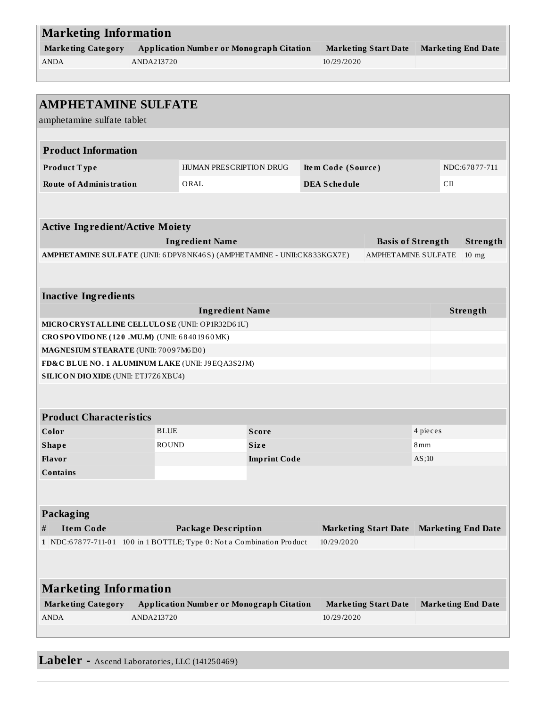| <b>Marketing Information</b>                                           |                                                                       |                                                 |  |                    |                     |                                                          |               |    |                           |
|------------------------------------------------------------------------|-----------------------------------------------------------------------|-------------------------------------------------|--|--------------------|---------------------|----------------------------------------------------------|---------------|----|---------------------------|
| <b>Marketing Category</b>                                              |                                                                       | <b>Application Number or Monograph Citation</b> |  |                    |                     | <b>Marketing End Date</b><br><b>Marketing Start Date</b> |               |    |                           |
| <b>ANDA</b>                                                            | ANDA213720                                                            |                                                 |  |                    | 10/29/2020          |                                                          |               |    |                           |
|                                                                        |                                                                       |                                                 |  |                    |                     |                                                          |               |    |                           |
|                                                                        |                                                                       |                                                 |  |                    |                     |                                                          |               |    |                           |
| <b>AMPHETAMINE SULFATE</b>                                             |                                                                       |                                                 |  |                    |                     |                                                          |               |    |                           |
| amphetamine sulfate tablet                                             |                                                                       |                                                 |  |                    |                     |                                                          |               |    |                           |
|                                                                        |                                                                       |                                                 |  |                    |                     |                                                          |               |    |                           |
| <b>Product Information</b>                                             |                                                                       |                                                 |  |                    |                     |                                                          |               |    |                           |
| Product Type                                                           |                                                                       | HUMAN PRESCRIPTION DRUG                         |  | Item Code (Source) |                     |                                                          | NDC:67877-711 |    |                           |
| <b>Route of Administration</b>                                         |                                                                       | ORAL                                            |  |                    | <b>DEA Schedule</b> |                                                          |               | CП |                           |
|                                                                        |                                                                       |                                                 |  |                    |                     |                                                          |               |    |                           |
|                                                                        |                                                                       |                                                 |  |                    |                     |                                                          |               |    |                           |
| <b>Active Ingredient/Active Moiety</b>                                 |                                                                       |                                                 |  |                    |                     |                                                          |               |    |                           |
|                                                                        |                                                                       | <b>Ingredient Name</b>                          |  |                    |                     | <b>Basis of Strength</b>                                 |               |    | Strength                  |
| AMPHETAMINE SULFATE (UNII: 6DPV8NK46S) (AMPHETAMINE - UNII:CK833KGX7E) |                                                                       |                                                 |  |                    |                     | <b>AMPHETAMINE SULFATE</b>                               |               |    | $10$ mg                   |
|                                                                        |                                                                       |                                                 |  |                    |                     |                                                          |               |    |                           |
|                                                                        |                                                                       |                                                 |  |                    |                     |                                                          |               |    |                           |
| <b>Inactive Ingredients</b>                                            |                                                                       |                                                 |  |                    |                     |                                                          |               |    |                           |
| <b>Ingredient Name</b>                                                 |                                                                       |                                                 |  |                    | Strength            |                                                          |               |    |                           |
| MICRO CRYSTALLINE CELLULO SE (UNII: OP1R32D61U)                        |                                                                       |                                                 |  |                    |                     |                                                          |               |    |                           |
| CROSPOVIDONE (120 .MU.M) (UNII: 68401960MK)                            |                                                                       |                                                 |  |                    |                     |                                                          |               |    |                           |
| MAGNESIUM STEARATE (UNII: 70097M6I30)                                  |                                                                       |                                                 |  |                    |                     |                                                          |               |    |                           |
| FD&C BLUE NO. 1 ALUMINUM LAKE (UNII: J9EQA3S2JM)                       |                                                                       |                                                 |  |                    |                     |                                                          |               |    |                           |
| <b>SILICON DIO XIDE (UNII: ETJ7Z6 XBU4)</b>                            |                                                                       |                                                 |  |                    |                     |                                                          |               |    |                           |
|                                                                        |                                                                       |                                                 |  |                    |                     |                                                          |               |    |                           |
|                                                                        |                                                                       |                                                 |  |                    |                     |                                                          |               |    |                           |
| <b>Product Characteristics</b>                                         |                                                                       |                                                 |  |                    |                     |                                                          |               |    |                           |
| Color                                                                  | <b>BLUE</b>                                                           | <b>Score</b>                                    |  |                    |                     | 4 pieces                                                 |               |    |                           |
| <b>Shape</b>                                                           | <b>ROUND</b>                                                          | <b>Size</b>                                     |  | 8mm                |                     |                                                          |               |    |                           |
| Flavor                                                                 |                                                                       | <b>Imprint Code</b>                             |  | AS;10              |                     |                                                          |               |    |                           |
| <b>Contains</b>                                                        |                                                                       |                                                 |  |                    |                     |                                                          |               |    |                           |
|                                                                        |                                                                       |                                                 |  |                    |                     |                                                          |               |    |                           |
|                                                                        |                                                                       |                                                 |  |                    |                     |                                                          |               |    |                           |
| Packaging                                                              |                                                                       |                                                 |  |                    |                     |                                                          |               |    |                           |
| <b>Item Code</b><br>#                                                  | <b>Package Description</b>                                            |                                                 |  |                    |                     | <b>Marketing Start Date</b>                              |               |    | <b>Marketing End Date</b> |
|                                                                        | 1 NDC:67877-711-01 100 in 1 BOTTLE; Type 0: Not a Combination Product |                                                 |  |                    | 10/29/2020          |                                                          |               |    |                           |

| <b>Marketing Information</b> |                                                 |                      |                           |  |  |  |
|------------------------------|-------------------------------------------------|----------------------|---------------------------|--|--|--|
| <b>Marketing Category</b>    | <b>Application Number or Monograph Citation</b> | Marketing Start Date | <b>Marketing End Date</b> |  |  |  |
| ANDA                         | ANDA213720                                      | 10/29/2020           |                           |  |  |  |

# Labeler - Ascend Laboratories, LLC (141250469)